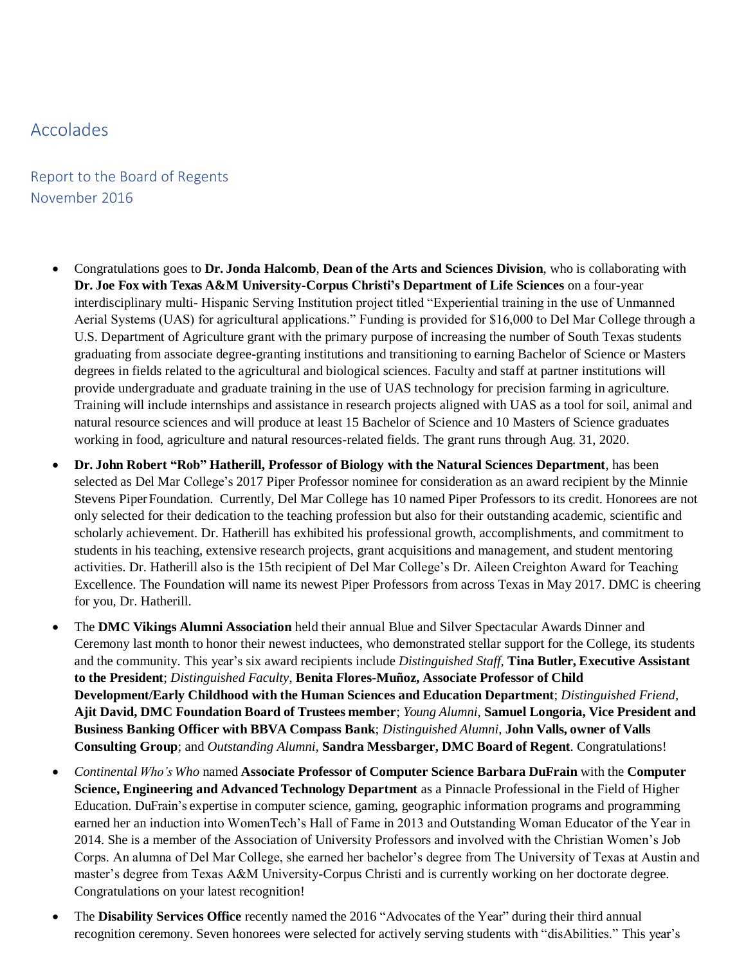## Accolades

## Report to the Board of Regents November 2016

- Congratulations goes to **Dr. Jonda Halcomb**, **Dean of the Arts and Sciences Division**, who is collaborating with **Dr. Joe Fox with Texas A&M University-Corpus Christi's Department of Life Sciences** on a four-year interdisciplinary multi- Hispanic Serving Institution project titled "Experiential training in the use of Unmanned Aerial Systems (UAS) for agricultural applications." Funding is provided for \$16,000 to Del Mar College through a U.S. Department of Agriculture grant with the primary purpose of increasing the number of South Texas students graduating from associate degree-granting institutions and transitioning to earning Bachelor of Science or Masters degrees in fields related to the agricultural and biological sciences. Faculty and staff at partner institutions will provide undergraduate and graduate training in the use of UAS technology for precision farming in agriculture. Training will include internships and assistance in research projects aligned with UAS as a tool for soil, animal and natural resource sciences and will produce at least 15 Bachelor of Science and 10 Masters of Science graduates working in food, agriculture and natural resources-related fields. The grant runs through Aug. 31, 2020.
- **Dr. John Robert "Rob" Hatherill, Professor of Biology with the Natural Sciences Department**, has been selected as Del Mar College's 2017 Piper Professor nominee for consideration as an award recipient by the Minnie Stevens PiperFoundation. Currently, Del Mar College has 10 named Piper Professors to its credit. Honorees are not only selected for their dedication to the teaching profession but also for their outstanding academic, scientific and scholarly achievement. Dr. Hatherill has exhibited his professional growth, accomplishments, and commitment to students in his teaching, extensive research projects, grant acquisitions and management, and student mentoring activities. Dr. Hatherill also is the 15th recipient of Del Mar College's Dr. Aileen Creighton Award for Teaching Excellence. The Foundation will name its newest Piper Professors from across Texas in May 2017. DMC is cheering for you, Dr. Hatherill.
- The **DMC Vikings Alumni Association** held their annual Blue and Silver Spectacular Awards Dinner and Ceremony last month to honor their newest inductees, who demonstrated stellar support for the College, its students and the community. This year's six award recipients include *Distinguished Staff,* **Tina Butler, Executive Assistant to the President**; *Distinguished Faculty*, **Benita Flores-Muñoz, Associate Professor of Child Development/Early Childhood with the Human Sciences and Education Department**; *Distinguished Friend*, **Ajit David, DMC Foundation Board of Trustees member**; *Young Alumni*, **Samuel Longoria, Vice President and Business Banking Officer with BBVA Compass Bank**; *Distinguished Alumni*, **John Valls, owner of Valls Consulting Group**; and *Outstanding Alumni*, **Sandra Messbarger, DMC Board of Regent**. Congratulations!
- *Continental Who's Who* named **Associate Professor of Computer Science Barbara DuFrain** with the **Computer Science, Engineering and Advanced Technology Department** as a Pinnacle Professional in the Field of Higher Education. DuFrain's expertise in computer science, gaming, geographic information programs and programming earned her an induction into WomenTech's Hall of Fame in 2013 and Outstanding Woman Educator of the Year in 2014. She is a member of the Association of University Professors and involved with the Christian Women's Job Corps. An alumna of Del Mar College, she earned her bachelor's degree from The University of Texas at Austin and master's degree from Texas A&M University-Corpus Christi and is currently working on her doctorate degree. Congratulations on your latest recognition!
- The **Disability Services Office** recently named the 2016 "Advocates of the Year" during their third annual recognition ceremony. Seven honorees were selected for actively serving students with "disAbilities." This year's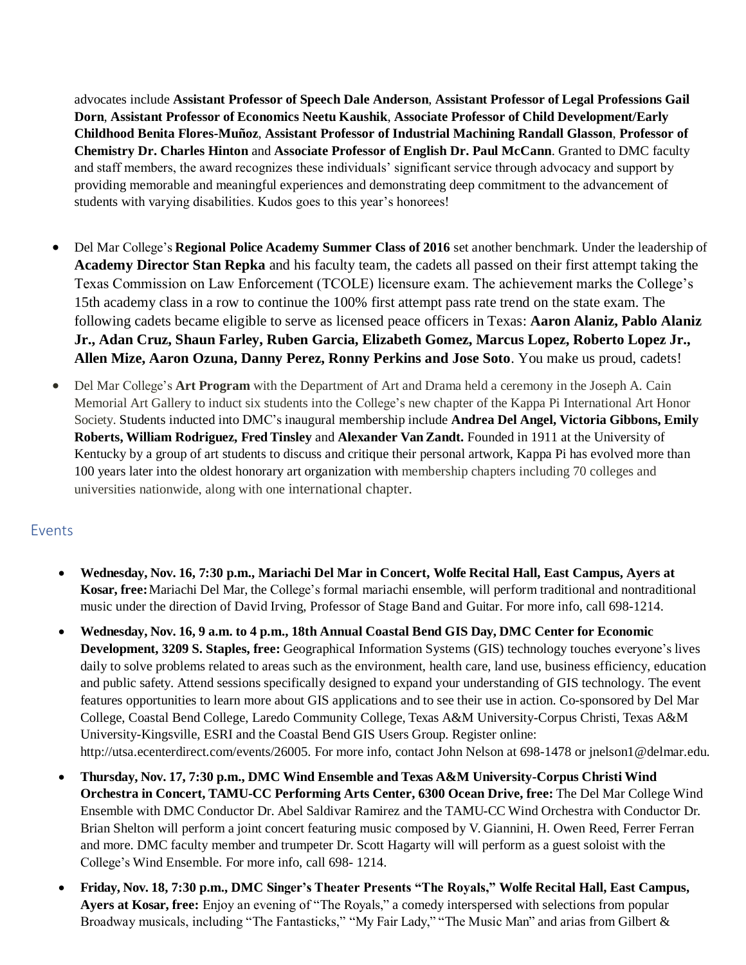advocates include **Assistant Professor of Speech Dale Anderson**, **Assistant Professor of Legal Professions Gail Dorn**, **Assistant Professor of Economics Neetu Kaushik**, **Associate Professor of Child Development/Early Childhood Benita Flores-Muñoz**, **Assistant Professor of Industrial Machining Randall Glasson**, **Professor of Chemistry Dr. Charles Hinton** and **Associate Professor of English Dr. Paul McCann**. Granted to DMC faculty and staff members, the award recognizes these individuals' significant service through advocacy and support by providing memorable and meaningful experiences and demonstrating deep commitment to the advancement of students with varying disabilities. Kudos goes to this year's honorees!

- Del Mar College's **Regional Police Academy Summer Class of 2016** set another benchmark. Under the leadership of **Academy Director Stan Repka** and his faculty team, the cadets all passed on their first attempt taking the Texas Commission on Law Enforcement (TCOLE) licensure exam. The achievement marks the College's 15th academy class in a row to continue the 100% first attempt pass rate trend on the state exam. The following cadets became eligible to serve as licensed peace officers in Texas: **Aaron Alaniz, Pablo Alaniz Jr., Adan Cruz, Shaun Farley, Ruben Garcia, Elizabeth Gomez, Marcus Lopez, Roberto Lopez Jr., Allen Mize, Aaron Ozuna, Danny Perez, Ronny Perkins and Jose Soto**. You make us proud, cadets!
- Del Mar College's **Art Program** with the Department of Art and Drama held a ceremony in the Joseph A. Cain Memorial Art Gallery to induct six students into the College's new chapter of the Kappa Pi International Art Honor Society. Students inducted into DMC's inaugural membership include **Andrea Del Angel, Victoria Gibbons, Emily Roberts, William Rodriguez, Fred Tinsley** and **Alexander Van Zandt.** Founded in 1911 at the University of Kentucky by a group of art students to discuss and critique their personal artwork, Kappa Pi has evolved more than 100 years later into the oldest honorary art organization with membership chapters including 70 colleges and universities nationwide, along with one international chapter.

## Events

- **Wednesday, Nov. 16, 7:30 p.m., Mariachi Del Mar in Concert, Wolfe Recital Hall, East Campus, Ayers at Kosar, free:**Mariachi Del Mar, the College's formal mariachi ensemble, will perform traditional and nontraditional music under the direction of David Irving, Professor of Stage Band and Guitar. For more info, call 698-1214.
- **Wednesday, Nov. 16, 9 a.m. to 4 p.m., 18th Annual Coastal Bend GIS Day, DMC Center for Economic Development, 3209 S. Staples, free:** Geographical Information Systems (GIS) technology touches everyone's lives daily to solve problems related to areas such as the environment, health care, land use, business efficiency, education and public safety. Attend sessions specifically designed to expand your understanding of GIS technology. The event features opportunities to learn more about GIS applications and to see their use in action. Co-sponsored by Del Mar College, Coastal Bend College, Laredo Community College, Texas A&M University-Corpus Christi, Texas A&M University-Kingsville, ESRI and the Coastal Bend GIS Users Group. Register online: [http://utsa.ecenterdirect.com/events/26005.](http://utsa.ecenterdirect.com/events/26005) For more info, contact John Nelson at 698-1478 or [jnelson1@delmar.edu.](mailto:jnelson1@delmar.edu)
- **Thursday, Nov. 17, 7:30 p.m., DMC Wind Ensemble and Texas A&M University-Corpus Christi Wind Orchestra in Concert, TAMU-CC Performing Arts Center, 6300 Ocean Drive, free:** The Del Mar College Wind Ensemble with DMC Conductor Dr. Abel Saldivar Ramirez and the TAMU-CC Wind Orchestra with Conductor Dr. Brian Shelton will perform a joint concert featuring music composed by V. Giannini, H. Owen Reed, Ferrer Ferran and more. DMC faculty member and trumpeter Dr. Scott Hagarty will will perform as a guest soloist with the College's Wind Ensemble. For more info, call 698- 1214.
- **Friday, Nov. 18, 7:30 p.m., DMC Singer's Theater Presents "The Royals," Wolfe Recital Hall, East Campus, Ayers at Kosar, free:** Enjoy an evening of "The Royals," a comedy interspersed with selections from popular Broadway musicals, including "The Fantasticks," "My Fair Lady," "The Music Man" and arias from Gilbert &